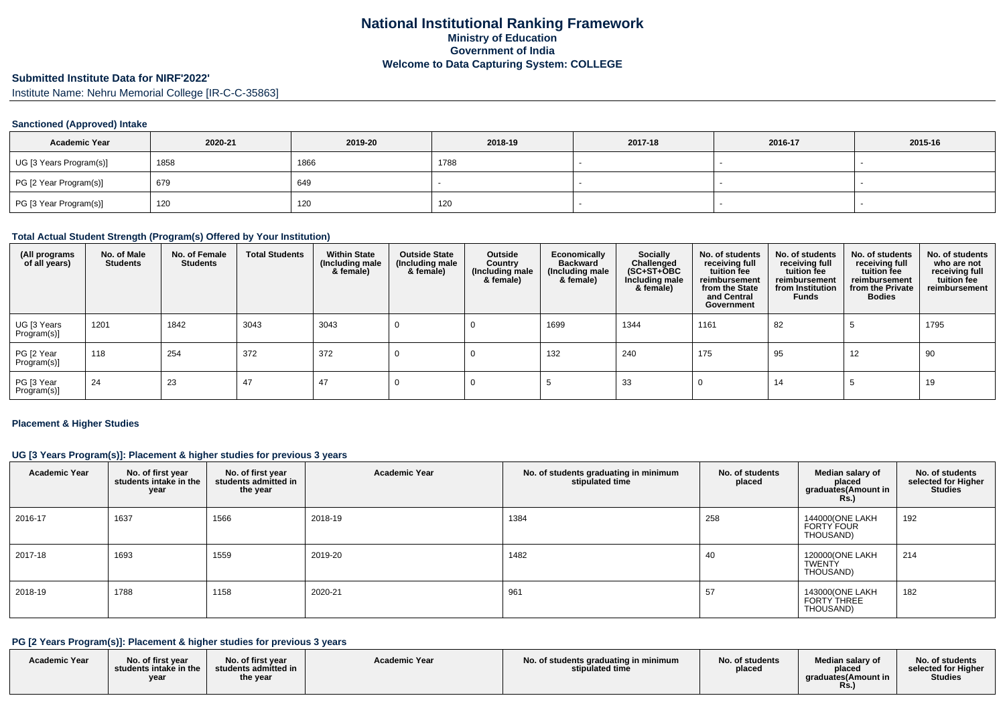# **Submitted Institute Data for NIRF'2022'**

Institute Name: Nehru Memorial College [IR-C-C-35863]

### **Sanctioned (Approved) Intake**

| <b>Academic Year</b>    | 2020-21 | 2019-20 | 2018-19 | 2017-18 | 2016-17 | 2015-16 |
|-------------------------|---------|---------|---------|---------|---------|---------|
| UG [3 Years Program(s)] | 1858    | 1866    | 1788    |         |         |         |
| PG [2 Year Program(s)]  | 679     | 649     |         |         |         |         |
| PG [3 Year Program(s)]  | 120     | 120     | 120     |         |         |         |

### **Total Actual Student Strength (Program(s) Offered by Your Institution)**

| (All programs<br>of all years) | No. of Male<br><b>Students</b> | No. of Female<br><b>Students</b> | <b>Total Students</b> | <b>Within State</b><br>(Including male<br>& female) | <b>Outside State</b><br>(Including male<br>& female) | Outside<br>Country<br>(Including male<br>& female) | Economically<br><b>Backward</b><br>(Including male<br>& female) | Socially<br>Challenged<br>$(SC+ST+\text{O}BC)$<br>Including male<br>& female) | No. of students<br>receiving full<br>tuition fee<br>reimbursement<br>from the State<br>and Central<br>Government | No. of students<br>receiving full<br>tuition fee<br>reimbursement<br>from Institution<br><b>Funds</b> | No. of students<br>receiving full<br>tuition fee<br>reimbursement<br>from the Private<br><b>Bodies</b> | No. of students<br>who are not<br>receiving full<br>tuition fee<br>reimbursement |
|--------------------------------|--------------------------------|----------------------------------|-----------------------|-----------------------------------------------------|------------------------------------------------------|----------------------------------------------------|-----------------------------------------------------------------|-------------------------------------------------------------------------------|------------------------------------------------------------------------------------------------------------------|-------------------------------------------------------------------------------------------------------|--------------------------------------------------------------------------------------------------------|----------------------------------------------------------------------------------|
| UG [3 Years<br>Program(s)]     | 1201                           | 1842                             | 3043                  | 3043                                                |                                                      |                                                    | 1699                                                            | 1344                                                                          | 1161                                                                                                             | 82                                                                                                    |                                                                                                        | 1795                                                                             |
| PG [2 Year<br>Program(s)]      | 118                            | 254                              | 372                   | 372                                                 |                                                      |                                                    | 132                                                             | 240                                                                           | 175                                                                                                              | 95                                                                                                    | 12                                                                                                     | 90                                                                               |
| PG [3 Year<br>Program(s)]      | 24                             | 23                               | 47                    | 47                                                  |                                                      |                                                    |                                                                 | 33                                                                            |                                                                                                                  | 14                                                                                                    |                                                                                                        | 19                                                                               |

#### **Placement & Higher Studies**

### **UG [3 Years Program(s)]: Placement & higher studies for previous 3 years**

| <b>Academic Year</b> | No. of first year<br>students intake in the<br>year | No. of first year<br>students admitted in<br>the year | <b>Academic Year</b> | No. of students graduating in minimum<br>stipulated time | No. of students<br>placed | Median salary of<br>placed<br>graduates(Amount in<br><b>Rs.)</b> | No. of students<br>selected for Higher<br><b>Studies</b> |
|----------------------|-----------------------------------------------------|-------------------------------------------------------|----------------------|----------------------------------------------------------|---------------------------|------------------------------------------------------------------|----------------------------------------------------------|
| 2016-17              | 1637                                                | 1566                                                  | 2018-19              | 1384                                                     | 258                       | 144000(ONE LAKH<br>FORTY FOUR<br>THOUSAND)                       | 192                                                      |
| 2017-18              | 1693                                                | 1559                                                  | 2019-20              | 1482                                                     | 40                        | 120000(ONE LAKH<br><b>TWENTY</b><br>THOUSAND)                    | 214                                                      |
| 2018-19              | 1788                                                | 1158                                                  | 2020-21              | 961                                                      | 57                        | 143000(ONE LAKH<br><b>FORTY THREE</b><br>THOUSAND)               | 182                                                      |

### **PG [2 Years Program(s)]: Placement & higher studies for previous 3 years**

| <b>Academic Year</b> | No. of first vear<br>students intake in the<br>year | No. of first year<br>students admitted in<br>the year | <b>Academic Year</b> | No. of students graduating in minimum<br>stipulated time | No. of students<br>placed | Median salary of<br>placed<br>graduates (Amount in | No. of students<br>selected for Higher<br>Studies |
|----------------------|-----------------------------------------------------|-------------------------------------------------------|----------------------|----------------------------------------------------------|---------------------------|----------------------------------------------------|---------------------------------------------------|
|----------------------|-----------------------------------------------------|-------------------------------------------------------|----------------------|----------------------------------------------------------|---------------------------|----------------------------------------------------|---------------------------------------------------|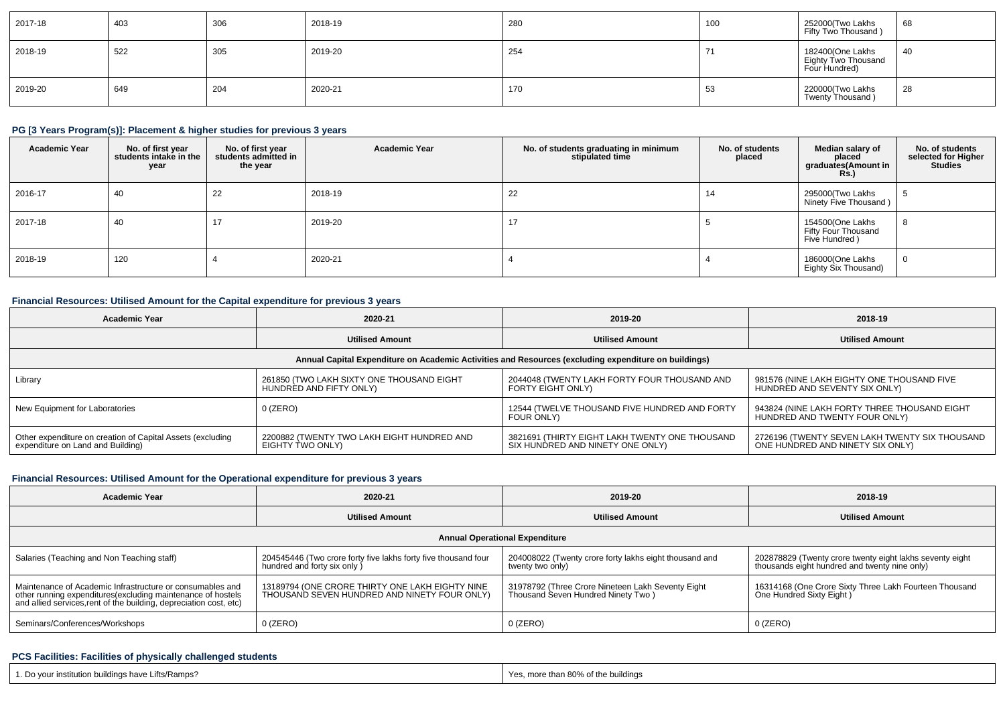| 2017-18 | 403 | 306 | 2018-19 | 280 | 100                      | 252000(Two Lakhs<br>Fifty Two Thousand)                  | 68 |
|---------|-----|-----|---------|-----|--------------------------|----------------------------------------------------------|----|
| 2018-19 | 522 | 305 | 2019-20 | 254 | $\overline{\phantom{0}}$ | 182400(One Lakhs<br>Eighty Two Thousand<br>Four Hundred) | 40 |
| 2019-20 | 649 | 204 | 2020-21 | 170 | 53                       | 220000(Two Lakhs<br>Twenty Thousand)                     | 28 |

## **PG [3 Years Program(s)]: Placement & higher studies for previous 3 years**

| <b>Academic Year</b> | No. of first year<br>students intake in the<br>year | No. of first year<br>students admitted in<br>the year | <b>Academic Year</b> | No. of students graduating in minimum<br>stipulated time | No. of students<br>placed | Median salary of<br>placed<br>graduates(Amount in<br><b>Rs.)</b> | No. of students<br>selected for Higher<br><b>Studies</b> |
|----------------------|-----------------------------------------------------|-------------------------------------------------------|----------------------|----------------------------------------------------------|---------------------------|------------------------------------------------------------------|----------------------------------------------------------|
| 2016-17              | 40                                                  | 22                                                    | 2018-19              | 22                                                       | 14                        | 295000(Two Lakhs<br>Ninety Five Thousand)                        | ಾ                                                        |
| 2017-18              | 40                                                  | $\overline{A}$                                        | 2019-20              | 17                                                       |                           | 154500(One Lakhs<br>Fifty Four Thousand<br>Five Hundred)         | -8                                                       |
| 2018-19              | 120                                                 |                                                       | 2020-21              |                                                          |                           | 186000(One Lakhs<br>Eighty Six Thousand)                         | $\overline{0}$                                           |

### **Financial Resources: Utilised Amount for the Capital expenditure for previous 3 years**

| <b>Academic Year</b>                                                                                 | 2020-21                                                              | 2019-20                                                                            | 2018-19                                                                            |  |  |  |  |  |  |
|------------------------------------------------------------------------------------------------------|----------------------------------------------------------------------|------------------------------------------------------------------------------------|------------------------------------------------------------------------------------|--|--|--|--|--|--|
|                                                                                                      | <b>Utilised Amount</b>                                               | <b>Utilised Amount</b>                                                             | <b>Utilised Amount</b>                                                             |  |  |  |  |  |  |
| Annual Capital Expenditure on Academic Activities and Resources (excluding expenditure on buildings) |                                                                      |                                                                                    |                                                                                    |  |  |  |  |  |  |
| Library                                                                                              | 261850 (TWO LAKH SIXTY ONE THOUSAND EIGHT<br>HUNDRED AND FIFTY ONLY) | 2044048 (TWENTY LAKH FORTY FOUR THOUSAND AND<br>FORTY EIGHT ONLY)                  | 981576 (NINE LAKH EIGHTY ONE THOUSAND FIVE<br>HUNDRED AND SEVENTY SIX ONLY)        |  |  |  |  |  |  |
| New Equipment for Laboratories                                                                       | $0$ (ZERO)                                                           | 12544 (TWELVE THOUSAND FIVE HUNDRED AND FORTY<br>FOUR ONLY)                        | 943824 (NINE LAKH FORTY THREE THOUSAND EIGHT<br>HUNDRED AND TWENTY FOUR ONLY)      |  |  |  |  |  |  |
| Other expenditure on creation of Capital Assets (excluding<br>expenditure on Land and Building)      | 2200882 (TWENTY TWO LAKH EIGHT HUNDRED AND<br>EIGHTY TWO ONLY)       | 3821691 (THIRTY EIGHT LAKH TWENTY ONE THOUSAND<br>SIX HUNDRED AND NINETY ONE ONLY) | 2726196 (TWENTY SEVEN LAKH TWENTY SIX THOUSAND<br>ONE HUNDRED AND NINETY SIX ONLY) |  |  |  |  |  |  |

### **Financial Resources: Utilised Amount for the Operational expenditure for previous 3 years**

| <b>Academic Year</b>                                                                                                                                                                            | 2020-21                                                                                         | 2019-20                                                                                 | 2018-19                                                                                                   |  |  |  |  |  |  |
|-------------------------------------------------------------------------------------------------------------------------------------------------------------------------------------------------|-------------------------------------------------------------------------------------------------|-----------------------------------------------------------------------------------------|-----------------------------------------------------------------------------------------------------------|--|--|--|--|--|--|
|                                                                                                                                                                                                 | <b>Utilised Amount</b>                                                                          | <b>Utilised Amount</b>                                                                  | <b>Utilised Amount</b>                                                                                    |  |  |  |  |  |  |
| <b>Annual Operational Expenditure</b>                                                                                                                                                           |                                                                                                 |                                                                                         |                                                                                                           |  |  |  |  |  |  |
| Salaries (Teaching and Non Teaching staff)                                                                                                                                                      | 204545446 (Two crore forty five lakhs forty five thousand four<br>hundred and forty six only )  | 204008022 (Twenty crore forty lakhs eight thousand and<br>twenty two only)              | 202878829 (Twenty crore twenty eight lakhs seventy eight<br>thousands eight hundred and twenty nine only) |  |  |  |  |  |  |
| Maintenance of Academic Infrastructure or consumables and<br>other running expenditures (excluding maintenance of hostels<br>and allied services, rent of the building, depreciation cost, etc) | 13189794 (ONE CRORE THIRTY ONE LAKH EIGHTY NINE<br>THOUSAND SEVEN HUNDRED AND NINETY FOUR ONLY) | 31978792 (Three Crore Nineteen Lakh Seventy Eight<br>Thousand Seven Hundred Ninety Two) | 16314168 (One Crore Sixty Three Lakh Fourteen Thousand<br>One Hundred Sixty Eight)                        |  |  |  |  |  |  |
| Seminars/Conferences/Workshops                                                                                                                                                                  | $0$ (ZERO)                                                                                      | $0$ (ZERO)                                                                              | $0$ (ZERO)                                                                                                |  |  |  |  |  |  |

### **PCS Facilities: Facilities of physically challenged students**

| 1. Do your institution buildings have Lifts/Ramps? | Yes, more than 80% of the buildings |
|----------------------------------------------------|-------------------------------------|
|                                                    |                                     |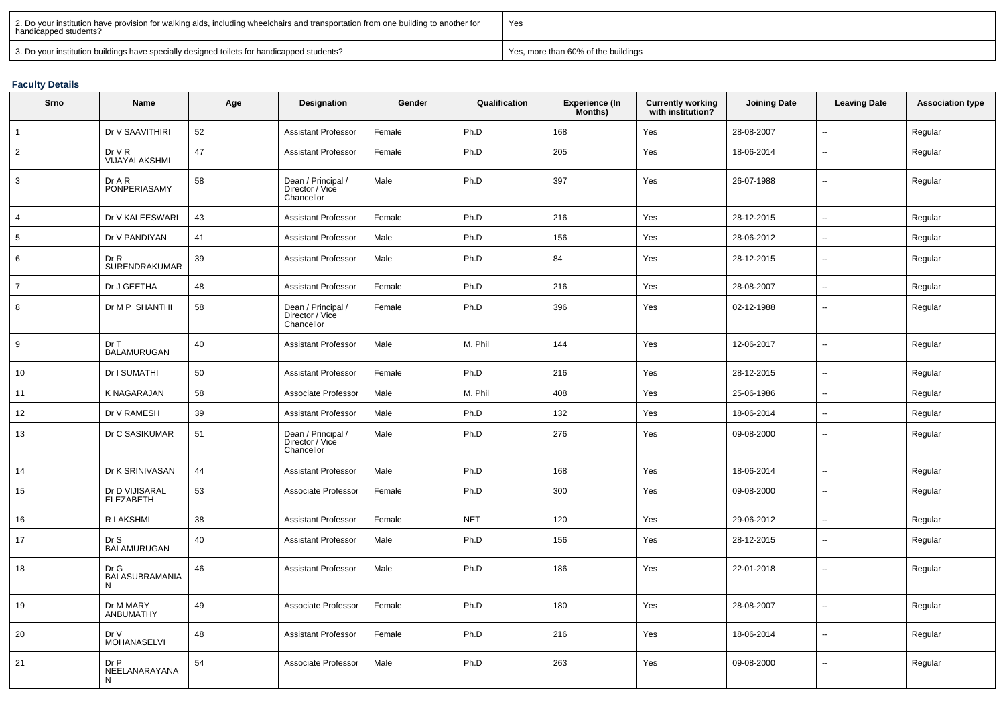| 2. Do your institution have provision for walking aids, including wheelchairs and transportation from one building to another for<br>  handicapped students? | Yes                                 |
|--------------------------------------------------------------------------------------------------------------------------------------------------------------|-------------------------------------|
| 3. Do your institution buildings have specially designed toilets for handicapped students?                                                                   | Yes, more than 60% of the buildings |

### **Faculty Details**

| Srno            | Name                        | Age | Designation                                         | Gender | Qualification | Experience (In<br>Months) | <b>Currently working</b><br>with institution? | <b>Joining Date</b> | <b>Leaving Date</b>      | <b>Association type</b> |
|-----------------|-----------------------------|-----|-----------------------------------------------------|--------|---------------|---------------------------|-----------------------------------------------|---------------------|--------------------------|-------------------------|
| $\mathbf{1}$    | Dr V SAAVITHIRI             | 52  | <b>Assistant Professor</b>                          | Female | Ph.D          | 168                       | Yes                                           | 28-08-2007          | Ξ.                       | Regular                 |
| $\overline{2}$  | DrVR<br>VIJAYALAKSHMI       | 47  | <b>Assistant Professor</b>                          | Female | Ph.D          | 205                       | Yes                                           | 18-06-2014          | ц.                       | Regular                 |
| 3               | Dr A R<br>PONPERIASAMY      | 58  | Dean / Principal /<br>Director / Vice<br>Chancellor | Male   | Ph.D          | 397                       | Yes                                           | 26-07-1988          | $\overline{\phantom{a}}$ | Regular                 |
| $\overline{4}$  | Dr V KALEESWARI             | 43  | <b>Assistant Professor</b>                          | Female | Ph.D          | 216                       | Yes                                           | 28-12-2015          | Щ,                       | Regular                 |
| $5\phantom{.0}$ | Dr V PANDIYAN               | 41  | <b>Assistant Professor</b>                          | Male   | Ph.D          | 156                       | Yes                                           | 28-06-2012          | ц.                       | Regular                 |
| 6               | Dr R<br>SURENDRAKUMAR       | 39  | <b>Assistant Professor</b>                          | Male   | Ph.D          | 84                        | Yes                                           | 28-12-2015          | $\overline{\phantom{a}}$ | Regular                 |
| $\overline{7}$  | Dr J GEETHA                 | 48  | <b>Assistant Professor</b>                          | Female | Ph.D          | 216                       | Yes                                           | 28-08-2007          | $\sim$                   | Regular                 |
| 8               | Dr M P SHANTHI              | 58  | Dean / Principal /<br>Director / Vice<br>Chancellor | Female | Ph.D          | 396                       | Yes                                           | 02-12-1988          | $\overline{\phantom{a}}$ | Regular                 |
| 9               | Dr T<br><b>BALAMURUGAN</b>  | 40  | <b>Assistant Professor</b>                          | Male   | M. Phil       | 144                       | Yes                                           | 12-06-2017          | u.                       | Regular                 |
| 10              | Dr I SUMATHI                | 50  | <b>Assistant Professor</b>                          | Female | Ph.D          | 216                       | Yes                                           | 28-12-2015          | $\overline{\phantom{a}}$ | Regular                 |
| 11              | K NAGARAJAN                 | 58  | Associate Professor                                 | Male   | M. Phil       | 408                       | Yes                                           | 25-06-1986          | $\overline{\phantom{a}}$ | Regular                 |
| 12              | Dr V RAMESH                 | 39  | <b>Assistant Professor</b>                          | Male   | Ph.D          | 132                       | Yes                                           | 18-06-2014          | Щ,                       | Regular                 |
| 13              | Dr C SASIKUMAR              | 51  | Dean / Principal /<br>Director / Vice<br>Chancellor | Male   | Ph.D          | 276                       | Yes                                           | 09-08-2000          | $\overline{\phantom{a}}$ | Regular                 |
| 14              | Dr K SRINIVASAN             | 44  | <b>Assistant Professor</b>                          | Male   | Ph.D          | 168                       | Yes                                           | 18-06-2014          | Ξ.                       | Regular                 |
| 15              | Dr D VIJISARAL<br>ELEZABETH | 53  | Associate Professor                                 | Female | Ph.D          | 300                       | Yes                                           | 09-08-2000          | $\overline{\phantom{a}}$ | Regular                 |
| 16              | R LAKSHMI                   | 38  | <b>Assistant Professor</b>                          | Female | <b>NET</b>    | 120                       | Yes                                           | 29-06-2012          | ц.                       | Regular                 |
| 17              | Dr S<br>BALAMURUGAN         | 40  | <b>Assistant Professor</b>                          | Male   | Ph.D          | 156                       | Yes                                           | 28-12-2015          | $\mathbf{u}$             | Regular                 |
| 18              | Dr G<br>BALASUBRAMANIA<br>N | 46  | <b>Assistant Professor</b>                          | Male   | Ph.D          | 186                       | Yes                                           | 22-01-2018          | $\overline{\phantom{a}}$ | Regular                 |
| 19              | Dr M MARY<br>ANBUMATHY      | 49  | Associate Professor                                 | Female | Ph.D          | 180                       | Yes                                           | 28-08-2007          | Ξ.                       | Regular                 |
| 20              | Dr V<br>MOHANASELVI         | 48  | <b>Assistant Professor</b>                          | Female | Ph.D          | 216                       | Yes                                           | 18-06-2014          | $\overline{\phantom{a}}$ | Regular                 |
| 21              | Dr P<br>NEELANARAYANA<br>N  | 54  | Associate Professor                                 | Male   | Ph.D          | 263                       | Yes                                           | 09-08-2000          | $\overline{\phantom{a}}$ | Regular                 |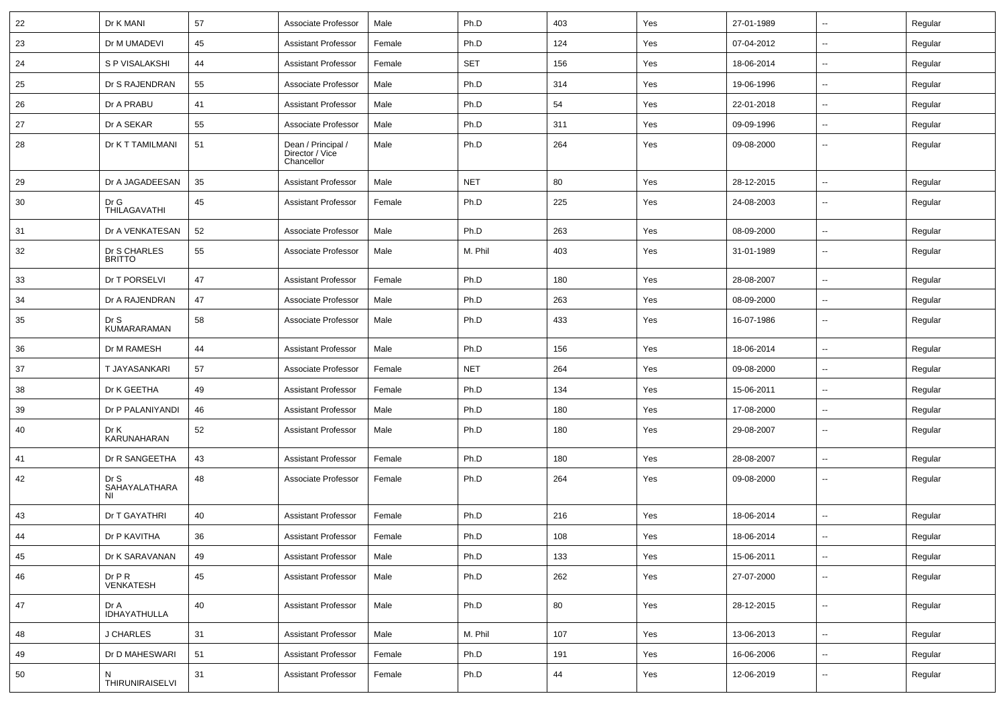| 22 | Dr K MANI                     | 57 | Associate Professor                                 | Male   | Ph.D       | 403 | Yes | 27-01-1989 | $\sim$                   | Regular |
|----|-------------------------------|----|-----------------------------------------------------|--------|------------|-----|-----|------------|--------------------------|---------|
| 23 | Dr M UMADEVI                  | 45 | <b>Assistant Professor</b>                          | Female | Ph.D       | 124 | Yes | 07-04-2012 | $\sim$                   | Regular |
| 24 | S P VISALAKSHI                | 44 | <b>Assistant Professor</b>                          | Female | SET        | 156 | Yes | 18-06-2014 | $\overline{\phantom{a}}$ | Regular |
| 25 | Dr S RAJENDRAN                | 55 | Associate Professor                                 | Male   | Ph.D       | 314 | Yes | 19-06-1996 | --                       | Regular |
| 26 | Dr A PRABU                    | 41 | <b>Assistant Professor</b>                          | Male   | Ph.D       | 54  | Yes | 22-01-2018 | $\overline{\phantom{a}}$ | Regular |
| 27 | Dr A SEKAR                    | 55 | Associate Professor                                 | Male   | Ph.D       | 311 | Yes | 09-09-1996 | $\sim$                   | Regular |
| 28 | Dr K T TAMILMANI              | 51 | Dean / Principal /<br>Director / Vice<br>Chancellor | Male   | Ph.D       | 264 | Yes | 09-08-2000 | $\sim$                   | Regular |
| 29 | Dr A JAGADEESAN               | 35 | <b>Assistant Professor</b>                          | Male   | <b>NET</b> | 80  | Yes | 28-12-2015 | $\sim$                   | Regular |
| 30 | Dr G<br>THILAGAVATHI          | 45 | <b>Assistant Professor</b>                          | Female | Ph.D       | 225 | Yes | 24-08-2003 | $\sim$                   | Regular |
| 31 | Dr A VENKATESAN               | 52 | Associate Professor                                 | Male   | Ph.D       | 263 | Yes | 08-09-2000 | $\sim$                   | Regular |
| 32 | Dr S CHARLES<br><b>BRITTO</b> | 55 | Associate Professor                                 | Male   | M. Phil    | 403 | Yes | 31-01-1989 | $\sim$                   | Regular |
| 33 | Dr T PORSELVI                 | 47 | <b>Assistant Professor</b>                          | Female | Ph.D       | 180 | Yes | 28-08-2007 | $\sim$                   | Regular |
| 34 | Dr A RAJENDRAN                | 47 | Associate Professor                                 | Male   | Ph.D       | 263 | Yes | 08-09-2000 | $\overline{\phantom{a}}$ | Regular |
| 35 | Dr S<br><b>KUMARARAMAN</b>    | 58 | Associate Professor                                 | Male   | Ph.D       | 433 | Yes | 16-07-1986 | $\overline{\phantom{a}}$ | Regular |
| 36 | Dr M RAMESH                   | 44 | <b>Assistant Professor</b>                          | Male   | Ph.D       | 156 | Yes | 18-06-2014 | $\sim$                   | Regular |
| 37 | T JAYASANKARI                 | 57 | Associate Professor                                 | Female | <b>NET</b> | 264 | Yes | 09-08-2000 | $\sim$                   | Regular |
| 38 | Dr K GEETHA                   | 49 | <b>Assistant Professor</b>                          | Female | Ph.D       | 134 | Yes | 15-06-2011 | $\overline{\phantom{a}}$ | Regular |
| 39 | Dr P PALANIYANDI              | 46 | <b>Assistant Professor</b>                          | Male   | Ph.D       | 180 | Yes | 17-08-2000 | $\sim$                   | Regular |
| 40 | Dr K<br>KARUNAHARAN           | 52 | <b>Assistant Professor</b>                          | Male   | Ph.D       | 180 | Yes | 29-08-2007 | $\sim$                   | Regular |
| 41 | Dr R SANGEETHA                | 43 | <b>Assistant Professor</b>                          | Female | Ph.D       | 180 | Yes | 28-08-2007 | $\sim$                   | Regular |
| 42 | Dr S<br>SAHAYALATHARA<br>ΝI   | 48 | Associate Professor                                 | Female | Ph.D       | 264 | Yes | 09-08-2000 | $\overline{\phantom{a}}$ | Regular |
| 43 | Dr T GAYATHRI                 | 40 | <b>Assistant Professor</b>                          | Female | Ph.D       | 216 | Yes | 18-06-2014 | $\sim$                   | Regular |
| 44 | Dr P KAVITHA                  | 36 | <b>Assistant Professor</b>                          | Female | Ph.D       | 108 | Yes | 18-06-2014 |                          | Regular |
| 45 | Dr K SARAVANAN                | 49 | <b>Assistant Professor</b>                          | Male   | Ph.D       | 133 | Yes | 15-06-2011 | $\overline{\phantom{a}}$ | Regular |
| 46 | DrPR<br>VENKATESH             | 45 | <b>Assistant Professor</b>                          | Male   | Ph.D       | 262 | Yes | 27-07-2000 | $\sim$                   | Regular |
| 47 | Dr A<br>IDHAYATHULLA          | 40 | <b>Assistant Professor</b>                          | Male   | Ph.D       | 80  | Yes | 28-12-2015 | $\sim$                   | Regular |
| 48 | <b>J CHARLES</b>              | 31 | <b>Assistant Professor</b>                          | Male   | M. Phil    | 107 | Yes | 13-06-2013 | $\sim$                   | Regular |
| 49 | Dr D MAHESWARI                | 51 | <b>Assistant Professor</b>                          | Female | Ph.D       | 191 | Yes | 16-06-2006 | $\sim$                   | Regular |
| 50 | N<br>THIRUNIRAISELVI          | 31 | Assistant Professor                                 | Female | Ph.D       | 44  | Yes | 12-06-2019 | Ξ.                       | Regular |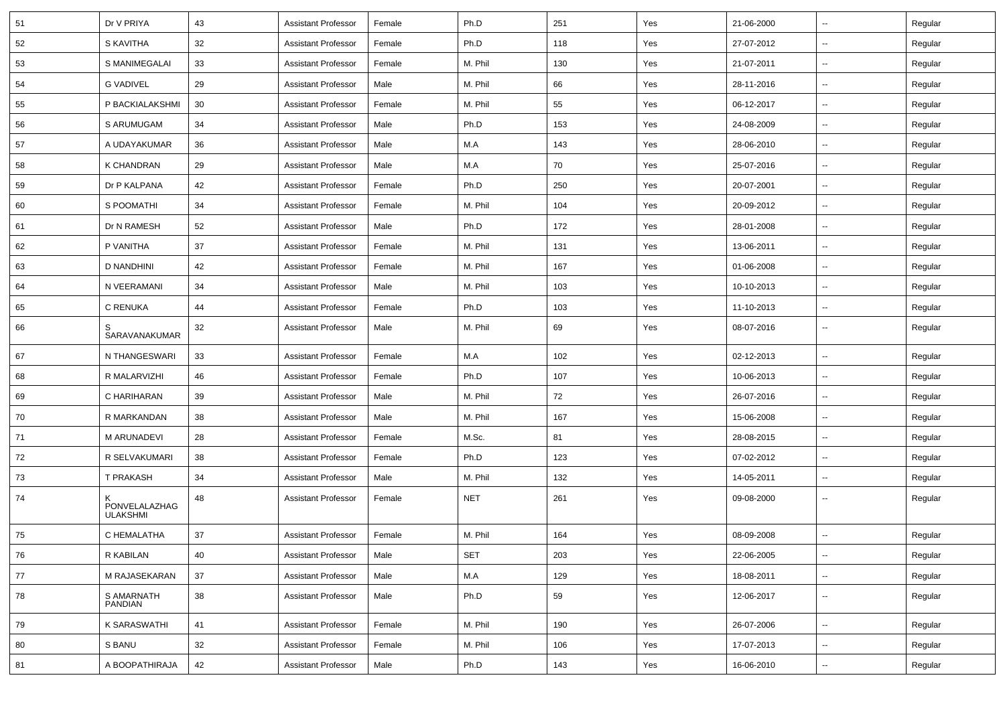| 51 | Dr V PRIYA                | 43 | <b>Assistant Professor</b> | Female | Ph.D       | 251 | Yes | 21-06-2000 | ⊶.                       | Regular |
|----|---------------------------|----|----------------------------|--------|------------|-----|-----|------------|--------------------------|---------|
| 52 | S KAVITHA                 | 32 | <b>Assistant Professor</b> | Female | Ph.D       | 118 | Yes | 27-07-2012 | н.                       | Regular |
| 53 | S MANIMEGALAI             | 33 | <b>Assistant Professor</b> | Female | M. Phil    | 130 | Yes | 21-07-2011 | $\overline{\phantom{a}}$ | Regular |
| 54 | <b>G VADIVEL</b>          | 29 | <b>Assistant Professor</b> | Male   | M. Phil    | 66  | Yes | 28-11-2016 | $\overline{\phantom{a}}$ | Regular |
| 55 | P BACKIALAKSHMI           | 30 | <b>Assistant Professor</b> | Female | M. Phil    | 55  | Yes | 06-12-2017 | --                       | Regular |
| 56 | S ARUMUGAM                | 34 | <b>Assistant Professor</b> | Male   | Ph.D       | 153 | Yes | 24-08-2009 | $\sim$                   | Regular |
| 57 | A UDAYAKUMAR              | 36 | <b>Assistant Professor</b> | Male   | M.A        | 143 | Yes | 28-06-2010 | $\overline{\phantom{a}}$ | Regular |
| 58 | K CHANDRAN                | 29 | <b>Assistant Professor</b> | Male   | M.A        | 70  | Yes | 25-07-2016 | ⊶.                       | Regular |
| 59 | Dr P KALPANA              | 42 | <b>Assistant Professor</b> | Female | Ph.D       | 250 | Yes | 20-07-2001 | ⊷.                       | Regular |
| 60 | S POOMATHI                | 34 | <b>Assistant Professor</b> | Female | M. Phil    | 104 | Yes | 20-09-2012 | --                       | Regular |
| 61 | Dr N RAMESH               | 52 | <b>Assistant Professor</b> | Male   | Ph.D       | 172 | Yes | 28-01-2008 | -−                       | Regular |
| 62 | P VANITHA                 | 37 | <b>Assistant Professor</b> | Female | M. Phil    | 131 | Yes | 13-06-2011 | $\sim$                   | Regular |
| 63 | <b>D NANDHINI</b>         | 42 | <b>Assistant Professor</b> | Female | M. Phil    | 167 | Yes | 01-06-2008 | ⊶.                       | Regular |
| 64 | N VEERAMANI               | 34 | <b>Assistant Professor</b> | Male   | M. Phil    | 103 | Yes | 10-10-2013 | ⊶.                       | Regular |
| 65 | C RENUKA                  | 44 | <b>Assistant Professor</b> | Female | Ph.D       | 103 | Yes | 11-10-2013 | $\overline{\phantom{a}}$ | Regular |
| 66 | SARAVANAKUMAR             | 32 | <b>Assistant Professor</b> | Male   | M. Phil    | 69  | Yes | 08-07-2016 | --                       | Regular |
| 67 | N THANGESWARI             | 33 | <b>Assistant Professor</b> | Female | M.A        | 102 | Yes | 02-12-2013 | --                       | Regular |
| 68 | R MALARVIZHI              | 46 | <b>Assistant Professor</b> | Female | Ph.D       | 107 | Yes | 10-06-2013 | $\overline{\phantom{a}}$ | Regular |
| 69 | C HARIHARAN               | 39 | <b>Assistant Professor</b> | Male   | M. Phil    | 72  | Yes | 26-07-2016 | $\overline{\phantom{a}}$ | Regular |
| 70 | R MARKANDAN               | 38 | <b>Assistant Professor</b> | Male   | M. Phil    | 167 | Yes | 15-06-2008 | $\sim$                   | Regular |
| 71 | M ARUNADEVI               | 28 | <b>Assistant Professor</b> | Female | M.Sc.      | 81  | Yes | 28-08-2015 | -−                       | Regular |
| 72 | R SELVAKUMARI             | 38 | <b>Assistant Professor</b> | Female | Ph.D       | 123 | Yes | 07-02-2012 | $\sim$                   | Regular |
| 73 | T PRAKASH                 | 34 | <b>Assistant Professor</b> | Male   | M. Phil    | 132 | Yes | 14-05-2011 | --                       | Regular |
| 74 | PONVELALAZHAG<br>ULAKSHMI | 48 | <b>Assistant Professor</b> | Female | <b>NET</b> | 261 | Yes | 09-08-2000 | --                       | Regular |
| 75 | C HEMALATHA               | 37 | <b>Assistant Professor</b> | Female | M. Phil    | 164 | Yes | 08-09-2008 |                          | Regular |
| 76 | R KABILAN                 | 40 | <b>Assistant Professor</b> | Male   | <b>SET</b> | 203 | Yes | 22-06-2005 | Щ,                       | Regular |
| 77 | M RAJASEKARAN             | 37 | <b>Assistant Professor</b> | Male   | M.A        | 129 | Yes | 18-08-2011 | Щ,                       | Regular |
| 78 | S AMARNATH<br>PANDIAN     | 38 | <b>Assistant Professor</b> | Male   | Ph.D       | 59  | Yes | 12-06-2017 | $\overline{\phantom{a}}$ | Regular |
| 79 | <b>K SARASWATHI</b>       | 41 | <b>Assistant Professor</b> | Female | M. Phil    | 190 | Yes | 26-07-2006 | $\overline{\phantom{a}}$ | Regular |
| 80 | S BANU                    | 32 | <b>Assistant Professor</b> | Female | M. Phil    | 106 | Yes | 17-07-2013 | ⊶.                       | Regular |
| 81 | A BOOPATHIRAJA            | 42 | <b>Assistant Professor</b> | Male   | Ph.D       | 143 | Yes | 16-06-2010 | н,                       | Regular |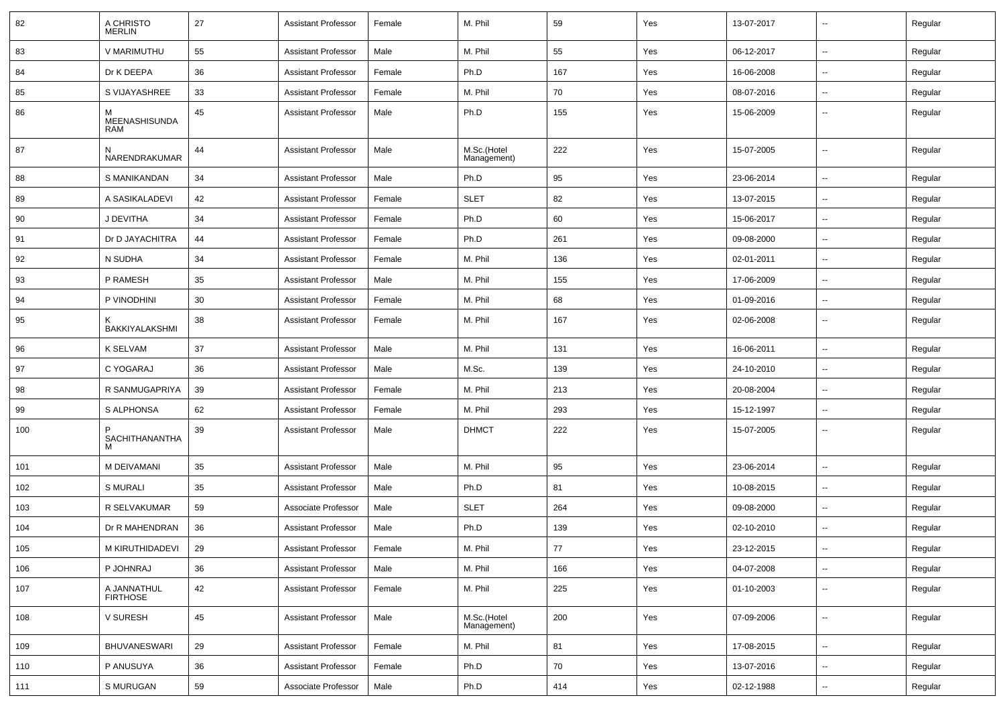| 82  | A CHRISTO<br><b>MERLIN</b>         | 27 | <b>Assistant Professor</b> | Female | M. Phil                    | 59     | Yes | 13-07-2017 | $\overline{\phantom{a}}$ | Regular |
|-----|------------------------------------|----|----------------------------|--------|----------------------------|--------|-----|------------|--------------------------|---------|
| 83  | V MARIMUTHU                        | 55 | <b>Assistant Professor</b> | Male   | M. Phil                    | 55     | Yes | 06-12-2017 | $\sim$                   | Regular |
| 84  | Dr K DEEPA                         | 36 | <b>Assistant Professor</b> | Female | Ph.D                       | 167    | Yes | 16-06-2008 | ⊷.                       | Regular |
| 85  | S VIJAYASHREE                      | 33 | <b>Assistant Professor</b> | Female | M. Phil                    | 70     | Yes | 08-07-2016 | ⊷.                       | Regular |
| 86  | <b>MEENASHISUNDA</b><br><b>RAM</b> | 45 | <b>Assistant Professor</b> | Male   | Ph.D                       | 155    | Yes | 15-06-2009 | --                       | Regular |
| 87  | N<br>NARENDRAKUMAR                 | 44 | <b>Assistant Professor</b> | Male   | M.Sc.(Hotel<br>Management) | 222    | Yes | 15-07-2005 | ⊷.                       | Regular |
| 88  | S MANIKANDAN                       | 34 | <b>Assistant Professor</b> | Male   | Ph.D                       | 95     | Yes | 23-06-2014 | $\mathbf{u}$             | Regular |
| 89  | A SASIKALADEVI                     | 42 | <b>Assistant Professor</b> | Female | <b>SLET</b>                | 82     | Yes | 13-07-2015 | $\overline{\phantom{a}}$ | Regular |
| 90  | J DEVITHA                          | 34 | <b>Assistant Professor</b> | Female | Ph.D                       | 60     | Yes | 15-06-2017 | --                       | Regular |
| 91  | Dr D JAYACHITRA                    | 44 | <b>Assistant Professor</b> | Female | Ph.D                       | 261    | Yes | 09-08-2000 | $\sim$                   | Regular |
| 92  | N SUDHA                            | 34 | <b>Assistant Professor</b> | Female | M. Phil                    | 136    | Yes | 02-01-2011 | $\sim$                   | Regular |
| 93  | P RAMESH                           | 35 | <b>Assistant Professor</b> | Male   | M. Phil                    | 155    | Yes | 17-06-2009 | ⊷.                       | Regular |
| 94  | P VINODHINI                        | 30 | <b>Assistant Professor</b> | Female | M. Phil                    | 68     | Yes | 01-09-2016 | $\sim$                   | Regular |
| 95  | BAKKIYALAKSHMI                     | 38 | <b>Assistant Professor</b> | Female | M. Phil                    | 167    | Yes | 02-06-2008 | ⊷.                       | Regular |
| 96  | <b>K SELVAM</b>                    | 37 | <b>Assistant Professor</b> | Male   | M. Phil                    | 131    | Yes | 16-06-2011 | -−                       | Regular |
| 97  | C YOGARAJ                          | 36 | <b>Assistant Professor</b> | Male   | M.Sc.                      | 139    | Yes | 24-10-2010 | н.                       | Regular |
| 98  | R SANMUGAPRIYA                     | 39 | <b>Assistant Professor</b> | Female | M. Phil                    | 213    | Yes | 20-08-2004 | $\overline{\phantom{a}}$ | Regular |
| 99  | S ALPHONSA                         | 62 | <b>Assistant Professor</b> | Female | M. Phil                    | 293    | Yes | 15-12-1997 | ⊷.                       | Regular |
| 100 | SACHITHANANTHA                     | 39 | <b>Assistant Professor</b> | Male   | <b>DHMCT</b>               | 222    | Yes | 15-07-2005 | н.                       | Regular |
| 101 | M DEIVAMANI                        | 35 | <b>Assistant Professor</b> | Male   | M. Phil                    | 95     | Yes | 23-06-2014 | ⊷.                       | Regular |
| 102 | <b>S MURALI</b>                    | 35 | <b>Assistant Professor</b> | Male   | Ph.D                       | 81     | Yes | 10-08-2015 | ⊷.                       | Regular |
| 103 | R SELVAKUMAR                       | 59 | Associate Professor        | Male   | <b>SLET</b>                | 264    | Yes | 09-08-2000 | --                       | Regular |
| 104 | Dr R MAHENDRAN                     | 36 | <b>Assistant Professor</b> | Male   | Ph.D                       | 139    | Yes | 02-10-2010 | $\overline{\phantom{a}}$ | Regular |
| 105 | M KIRUTHIDADEVI                    | 29 | Assistant Professor        | Female | M. Phil                    | $77\,$ | Yes | 23-12-2015 | --                       | Regular |
| 106 | P JOHNRAJ                          | 36 | <b>Assistant Professor</b> | Male   | M. Phil                    | 166    | Yes | 04-07-2008 | ш.                       | Regular |
| 107 | A JANNATHUL<br><b>FIRTHOSE</b>     | 42 | <b>Assistant Professor</b> | Female | M. Phil                    | 225    | Yes | 01-10-2003 | Щ,                       | Regular |
| 108 | V SURESH                           | 45 | <b>Assistant Professor</b> | Male   | M.Sc.(Hotel<br>Management) | 200    | Yes | 07-09-2006 | $\sim$                   | Regular |
| 109 | <b>BHUVANESWARI</b>                | 29 | <b>Assistant Professor</b> | Female | M. Phil                    | 81     | Yes | 17-08-2015 | $\overline{\phantom{a}}$ | Regular |
| 110 | P ANUSUYA                          | 36 | <b>Assistant Professor</b> | Female | Ph.D                       | 70     | Yes | 13-07-2016 | $\overline{\phantom{a}}$ | Regular |
| 111 | S MURUGAN                          | 59 | Associate Professor        | Male   | Ph.D                       | 414    | Yes | 02-12-1988 | н,                       | Regular |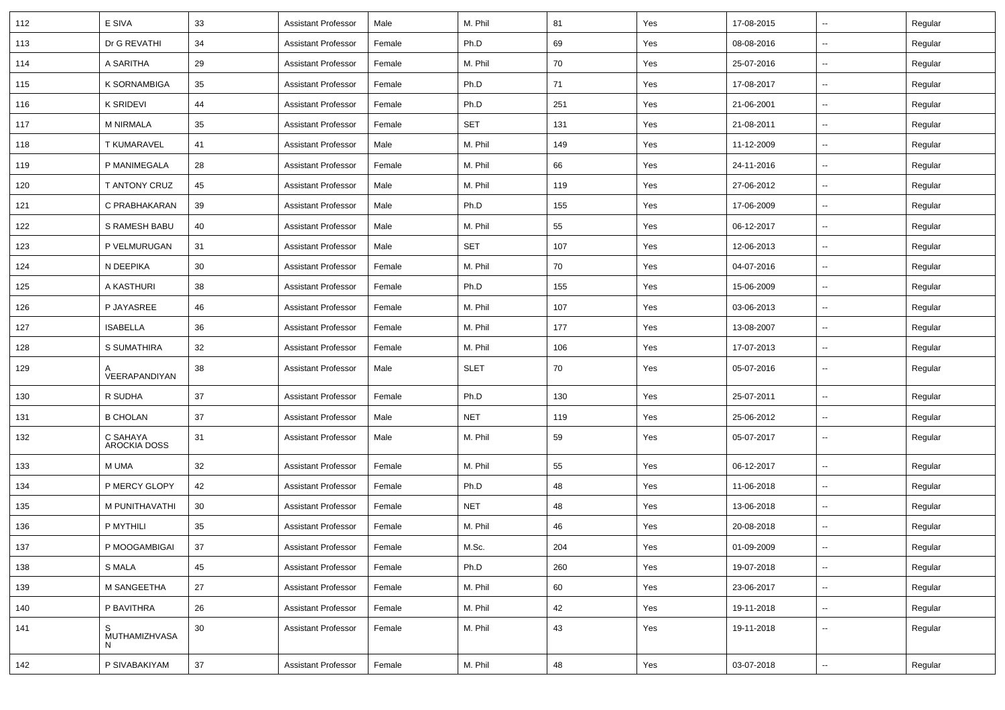| 112 | E SIVA                          | 33 | <b>Assistant Professor</b> | Male   | M. Phil     | 81  | Yes | 17-08-2015 | $\sim$                   | Regular |
|-----|---------------------------------|----|----------------------------|--------|-------------|-----|-----|------------|--------------------------|---------|
| 113 | Dr G REVATHI                    | 34 | <b>Assistant Professor</b> | Female | Ph.D        | 69  | Yes | 08-08-2016 | н.                       | Regular |
| 114 | A SARITHA                       | 29 | <b>Assistant Professor</b> | Female | M. Phil     | 70  | Yes | 25-07-2016 | $\overline{\phantom{a}}$ | Regular |
| 115 | K SORNAMBIGA                    | 35 | <b>Assistant Professor</b> | Female | Ph.D        | 71  | Yes | 17-08-2017 | $\overline{\phantom{a}}$ | Regular |
| 116 | K SRIDEVI                       | 44 | <b>Assistant Professor</b> | Female | Ph.D        | 251 | Yes | 21-06-2001 | $\overline{\phantom{a}}$ | Regular |
| 117 | <b>M NIRMALA</b>                | 35 | <b>Assistant Professor</b> | Female | <b>SET</b>  | 131 | Yes | 21-08-2011 | $\overline{\phantom{a}}$ | Regular |
| 118 | <b>T KUMARAVEL</b>              | 41 | <b>Assistant Professor</b> | Male   | M. Phil     | 149 | Yes | 11-12-2009 | $\sim$                   | Regular |
| 119 | P MANIMEGALA                    | 28 | <b>Assistant Professor</b> | Female | M. Phil     | 66  | Yes | 24-11-2016 | ⊷.                       | Regular |
| 120 | T ANTONY CRUZ                   | 45 | <b>Assistant Professor</b> | Male   | M. Phil     | 119 | Yes | 27-06-2012 | $\overline{\phantom{a}}$ | Regular |
| 121 | C PRABHAKARAN                   | 39 | <b>Assistant Professor</b> | Male   | Ph.D        | 155 | Yes | 17-06-2009 | $\overline{\phantom{a}}$ | Regular |
| 122 | S RAMESH BABU                   | 40 | <b>Assistant Professor</b> | Male   | M. Phil     | 55  | Yes | 06-12-2017 | $\overline{\phantom{a}}$ | Regular |
| 123 | P VELMURUGAN                    | 31 | <b>Assistant Professor</b> | Male   | <b>SET</b>  | 107 | Yes | 12-06-2013 | $\sim$                   | Regular |
| 124 | N DEEPIKA                       | 30 | <b>Assistant Professor</b> | Female | M. Phil     | 70  | Yes | 04-07-2016 | $\sim$                   | Regular |
| 125 | A KASTHURI                      | 38 | <b>Assistant Professor</b> | Female | Ph.D        | 155 | Yes | 15-06-2009 | ⊷.                       | Regular |
| 126 | P JAYASREE                      | 46 | <b>Assistant Professor</b> | Female | M. Phil     | 107 | Yes | 03-06-2013 | $\overline{\phantom{a}}$ | Regular |
| 127 | <b>ISABELLA</b>                 | 36 | <b>Assistant Professor</b> | Female | M. Phil     | 177 | Yes | 13-08-2007 | $\overline{\phantom{a}}$ | Regular |
| 128 | S SUMATHIRA                     | 32 | <b>Assistant Professor</b> | Female | M. Phil     | 106 | Yes | 17-07-2013 | $\overline{\phantom{a}}$ | Regular |
| 129 | VEERAPANDIYAN                   | 38 | <b>Assistant Professor</b> | Male   | <b>SLET</b> | 70  | Yes | 05-07-2016 | $\overline{\phantom{a}}$ | Regular |
| 130 | R SUDHA                         | 37 | <b>Assistant Professor</b> | Female | Ph.D        | 130 | Yes | 25-07-2011 | $\overline{\phantom{a}}$ | Regular |
| 131 | <b>B CHOLAN</b>                 | 37 | <b>Assistant Professor</b> | Male   | <b>NET</b>  | 119 | Yes | 25-06-2012 | $\sim$                   | Regular |
| 132 | C SAHAYA<br><b>AROCKIA DOSS</b> | 31 | <b>Assistant Professor</b> | Male   | M. Phil     | 59  | Yes | 05-07-2017 | н.                       | Regular |
| 133 | M UMA                           | 32 | <b>Assistant Professor</b> | Female | M. Phil     | 55  | Yes | 06-12-2017 | ⊷.                       | Regular |
| 134 | P MERCY GLOPY                   | 42 | <b>Assistant Professor</b> | Female | Ph.D        | 48  | Yes | 11-06-2018 | ⊷.                       | Regular |
| 135 | M PUNITHAVATHI                  | 30 | <b>Assistant Professor</b> | Female | <b>NET</b>  | 48  | Yes | 13-06-2018 |                          | Regular |
| 136 | P MYTHILI                       | 35 | <b>Assistant Professor</b> | Female | M. Phil     | 46  | Yes | 20-08-2018 | $\overline{\phantom{a}}$ | Regular |
| 137 | P MOOGAMBIGAI                   | 37 | Assistant Professor        | Female | M.Sc.       | 204 | Yes | 01-09-2009 |                          | Regular |
| 138 | S MALA                          | 45 | <b>Assistant Professor</b> | Female | Ph.D        | 260 | Yes | 19-07-2018 | $\sim$                   | Regular |
| 139 | M SANGEETHA                     | 27 | <b>Assistant Professor</b> | Female | M. Phil     | 60  | Yes | 23-06-2017 | $\sim$                   | Regular |
| 140 | P BAVITHRA                      | 26 | <b>Assistant Professor</b> | Female | M. Phil     | 42  | Yes | 19-11-2018 | $\sim$                   | Regular |
| 141 | S<br>MUTHAMIZHVASA<br>N         | 30 | <b>Assistant Professor</b> | Female | M. Phil     | 43  | Yes | 19-11-2018 | н.                       | Regular |
| 142 | P SIVABAKIYAM                   | 37 | <b>Assistant Professor</b> | Female | M. Phil     | 48  | Yes | 03-07-2018 | $\overline{\phantom{a}}$ | Regular |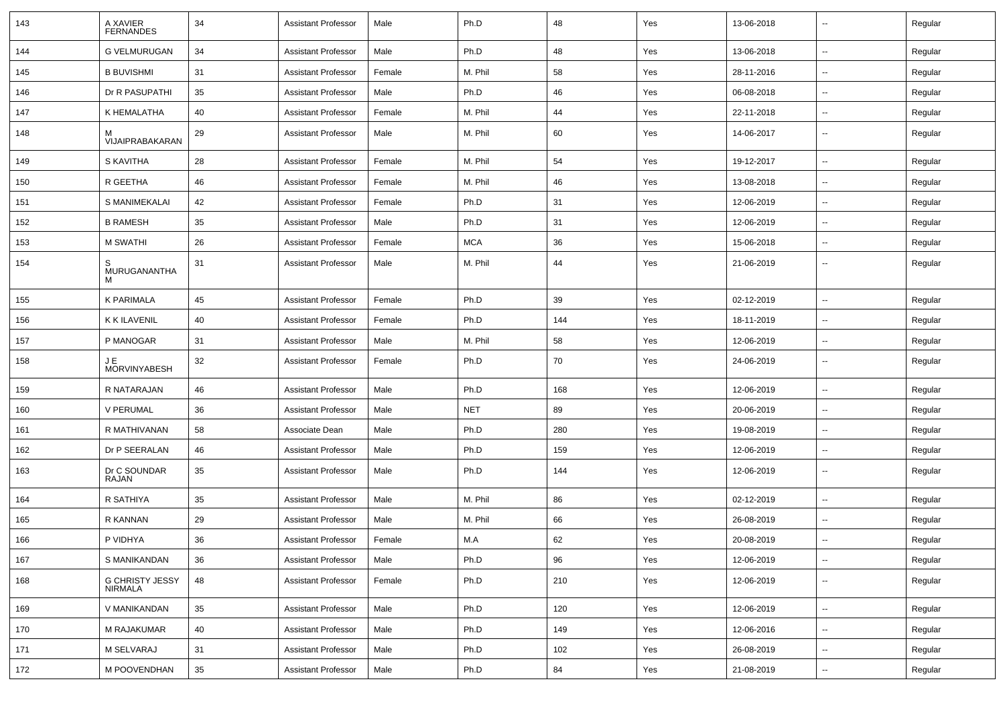| 143 | A XAVIER<br><b>FERNANDES</b>      | 34 | <b>Assistant Professor</b> | Male   | Ph.D       | 48  | Yes | 13-06-2018 |                          | Regular |
|-----|-----------------------------------|----|----------------------------|--------|------------|-----|-----|------------|--------------------------|---------|
| 144 | <b>G VELMURUGAN</b>               | 34 | <b>Assistant Professor</b> | Male   | Ph.D       | 48  | Yes | 13-06-2018 | н.                       | Regular |
| 145 | <b>B BUVISHMI</b>                 | 31 | <b>Assistant Professor</b> | Female | M. Phil    | 58  | Yes | 28-11-2016 | $\overline{\phantom{a}}$ | Regular |
| 146 | Dr R PASUPATHI                    | 35 | <b>Assistant Professor</b> | Male   | Ph.D       | 46  | Yes | 06-08-2018 | $\overline{\phantom{a}}$ | Regular |
| 147 | K HEMALATHA                       | 40 | <b>Assistant Professor</b> | Female | M. Phil    | 44  | Yes | 22-11-2018 | $\overline{\phantom{a}}$ | Regular |
| 148 | М<br>VIJAIPRABAKARAN              | 29 | <b>Assistant Professor</b> | Male   | M. Phil    | 60  | Yes | 14-06-2017 | ⊷.                       | Regular |
| 149 | S KAVITHA                         | 28 | <b>Assistant Professor</b> | Female | M. Phil    | 54  | Yes | 19-12-2017 | Ξ.                       | Regular |
| 150 | R GEETHA                          | 46 | <b>Assistant Professor</b> | Female | M. Phil    | 46  | Yes | 13-08-2018 | н.                       | Regular |
| 151 | S MANIMEKALAI                     | 42 | <b>Assistant Professor</b> | Female | Ph.D       | 31  | Yes | 12-06-2019 | ⊷.                       | Regular |
| 152 | <b>B RAMESH</b>                   | 35 | <b>Assistant Professor</b> | Male   | Ph.D       | 31  | Yes | 12-06-2019 | ⊷.                       | Regular |
| 153 | M SWATHI                          | 26 | <b>Assistant Professor</b> | Female | <b>MCA</b> | 36  | Yes | 15-06-2018 | $\overline{\phantom{a}}$ | Regular |
| 154 | S<br>MURUGANANTHA<br>M            | 31 | <b>Assistant Professor</b> | Male   | M. Phil    | 44  | Yes | 21-06-2019 | --                       | Regular |
| 155 | <b>K PARIMALA</b>                 | 45 | <b>Assistant Professor</b> | Female | Ph.D       | 39  | Yes | 02-12-2019 | $\overline{\phantom{a}}$ | Regular |
| 156 | <b>K K ILAVENIL</b>               | 40 | <b>Assistant Professor</b> | Female | Ph.D       | 144 | Yes | 18-11-2019 | $\overline{\phantom{a}}$ | Regular |
| 157 | P MANOGAR                         | 31 | <b>Assistant Professor</b> | Male   | M. Phil    | 58  | Yes | 12-06-2019 | н.                       | Regular |
| 158 | JE<br><b>MORVINYABESH</b>         | 32 | <b>Assistant Professor</b> | Female | Ph.D       | 70  | Yes | 24-06-2019 | ⊷.                       | Regular |
| 159 | R NATARAJAN                       | 46 | <b>Assistant Professor</b> | Male   | Ph.D       | 168 | Yes | 12-06-2019 | $\sim$                   | Regular |
| 160 | V PERUMAL                         | 36 | <b>Assistant Professor</b> | Male   | <b>NET</b> | 89  | Yes | 20-06-2019 | --                       | Regular |
| 161 | R MATHIVANAN                      | 58 | Associate Dean             | Male   | Ph.D       | 280 | Yes | 19-08-2019 | ⊷.                       | Regular |
| 162 | Dr P SEERALAN                     | 46 | <b>Assistant Professor</b> | Male   | Ph.D       | 159 | Yes | 12-06-2019 | --                       | Regular |
| 163 | Dr C SOUNDAR<br>RAJAN             | 35 | <b>Assistant Professor</b> | Male   | Ph.D       | 144 | Yes | 12-06-2019 | --                       | Regular |
| 164 | R SATHIYA                         | 35 | <b>Assistant Professor</b> | Male   | M. Phil    | 86  | Yes | 02-12-2019 | -−                       | Regular |
| 165 | R KANNAN                          | 29 | <b>Assistant Professor</b> | Male   | M. Phil    | 66  | Yes | 26-08-2019 | $\sim$                   | Regular |
| 166 | P VIDHYA                          | 36 | <b>Assistant Professor</b> | Female | M.A        | 62  | Yes | 20-08-2019 | $\overline{\phantom{a}}$ | Regular |
| 167 | S MANIKANDAN                      | 36 | <b>Assistant Professor</b> | Male   | Ph.D       | 96  | Yes | 12-06-2019 | $\overline{\phantom{a}}$ | Regular |
| 168 | G CHRISTY JESSY<br><b>NIRMALA</b> | 48 | <b>Assistant Professor</b> | Female | Ph.D       | 210 | Yes | 12-06-2019 | $\overline{\phantom{a}}$ | Regular |
| 169 | V MANIKANDAN                      | 35 | <b>Assistant Professor</b> | Male   | Ph.D       | 120 | Yes | 12-06-2019 | $\sim$                   | Regular |
| 170 | M RAJAKUMAR                       | 40 | <b>Assistant Professor</b> | Male   | Ph.D       | 149 | Yes | 12-06-2016 | $\overline{\phantom{a}}$ | Regular |
| 171 | M SELVARAJ                        | 31 | <b>Assistant Professor</b> | Male   | Ph.D       | 102 | Yes | 26-08-2019 | -−                       | Regular |
| 172 | M POOVENDHAN                      | 35 | <b>Assistant Professor</b> | Male   | Ph.D       | 84  | Yes | 21-08-2019 | $\sim$                   | Regular |